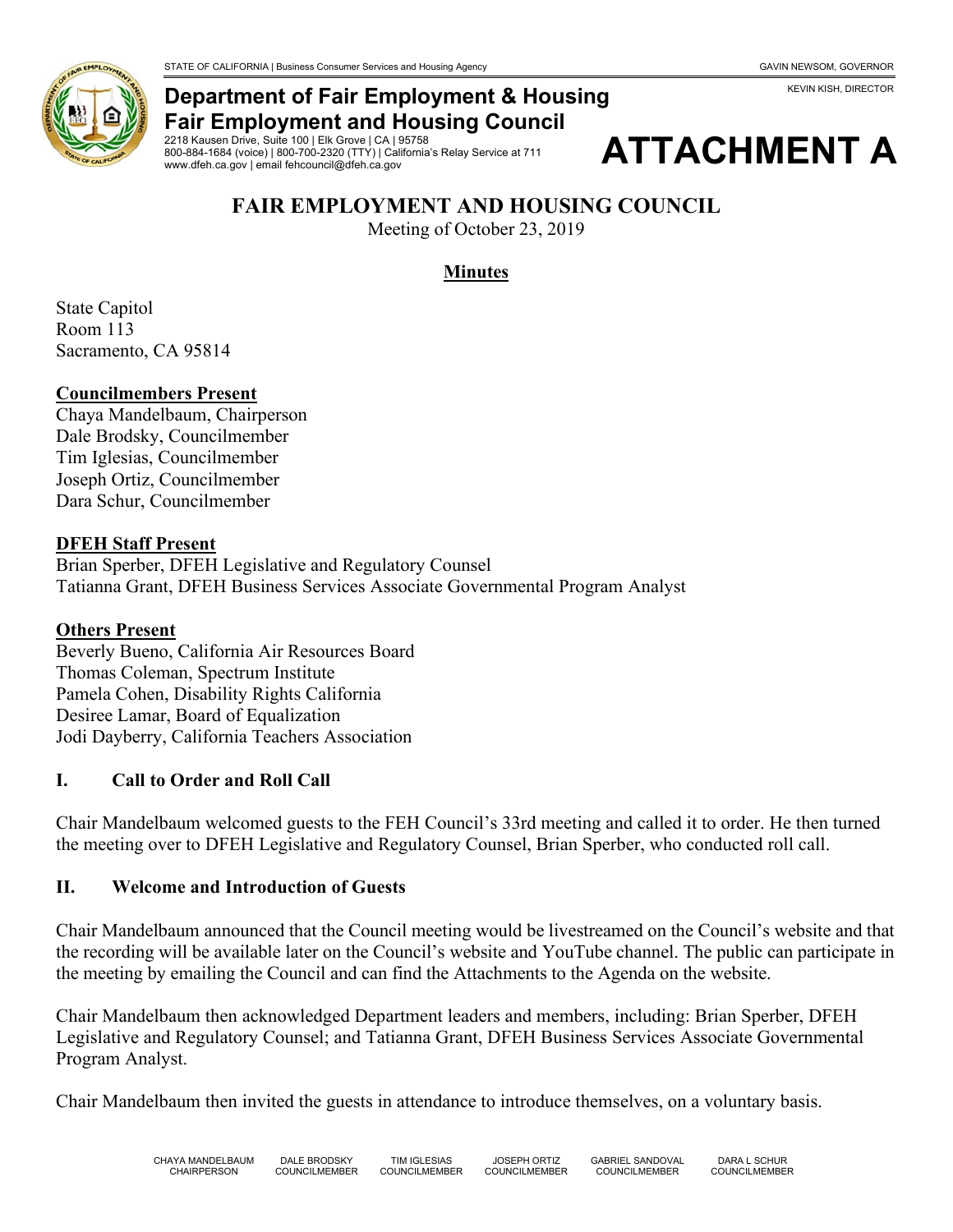

## **Department of Fair Employment & Housing Fair Employment and Housing Council**

2218 Kausen Drive, Suite 100 | Elk Grove | CA | 95758 800-884-1684 (voice) | 800-700-2320 (TTY) | California's Relay Service at 711 www.dfeh.ca.gov | email fehcouncil@dfeh.ca.gov



# **FAIR EMPLOYMENT AND HOUSING COUNCIL**

Meeting of October 23, 2019

## **Minutes**

State Capitol Room 113 Sacramento, CA 95814

#### **Councilmembers Present**

Chaya Mandelbaum, Chairperson Dale Brodsky, Councilmember Tim Iglesias, Councilmember Joseph Ortiz, Councilmember Dara Schur, Councilmember

#### **DFEH Staff Present**

Brian Sperber, DFEH Legislative and Regulatory Counsel Tatianna Grant, DFEH Business Services Associate Governmental Program Analyst

#### **Others Present**

Beverly Bueno, California Air Resources Board Thomas Coleman, Spectrum Institute Pamela Cohen, Disability Rights California Desiree Lamar, Board of Equalization Jodi Dayberry, California Teachers Association

#### **I. Call to Order and Roll Call**

Chair Mandelbaum welcomed guests to the FEH Council's 33rd meeting and called it to order. He then turned the meeting over to DFEH Legislative and Regulatory Counsel, Brian Sperber, who conducted roll call.

#### **II. Welcome and Introduction of Guests**

Chair Mandelbaum announced that the Council meeting would be livestreamed on the Council's website and that the recording will be available later on the Council's website and YouTube channel. The public can participate in the meeting by emailing the Council and can find the Attachments to the Agenda on the website.

Chair Mandelbaum then acknowledged Department leaders and members, including: Brian Sperber, DFEH Legislative and Regulatory Counsel; and Tatianna Grant, DFEH Business Services Associate Governmental Program Analyst.

Chair Mandelbaum then invited the guests in attendance to introduce themselves, on a voluntary basis.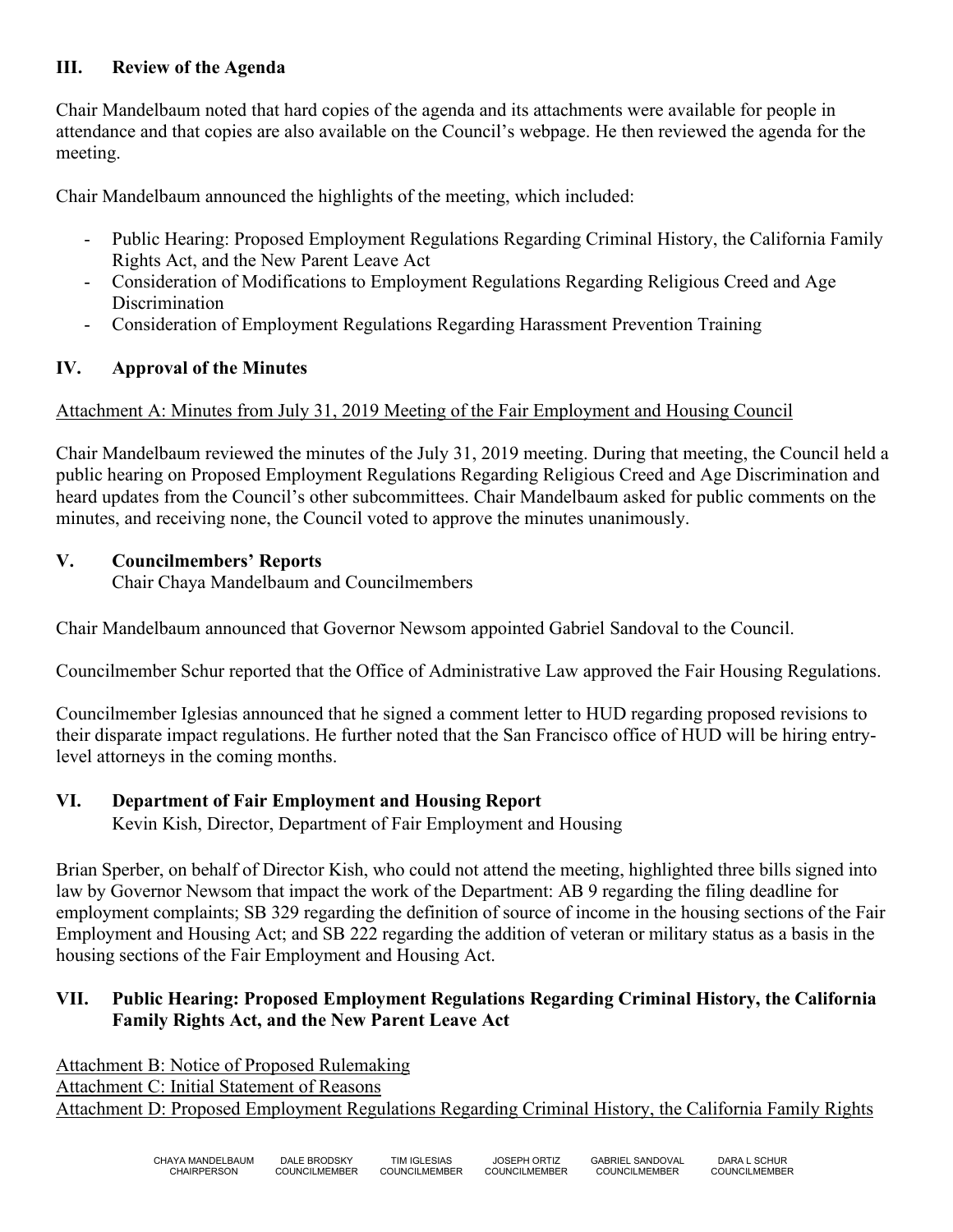## **III. Review of the Agenda**

Chair Mandelbaum noted that hard copies of the agenda and its attachments were available for people in attendance and that copies are also available on the Council's webpage. He then reviewed the agenda for the meeting.

Chair Mandelbaum announced the highlights of the meeting, which included:

- Public Hearing: Proposed Employment Regulations Regarding Criminal History, the California Family Rights Act, and the New Parent Leave Act
- Consideration of Modifications to Employment Regulations Regarding Religious Creed and Age Discrimination
- Consideration of Employment Regulations Regarding Harassment Prevention Training

## **IV. Approval of the Minutes**

#### Attachment A: Minutes from July 31, 2019 Meeting of the Fair Employment and Housing Council

Chair Mandelbaum reviewed the minutes of the July 31, 2019 meeting. During that meeting, the Council held a public hearing on Proposed Employment Regulations Regarding Religious Creed and Age Discrimination and heard updates from the Council's other subcommittees. Chair Mandelbaum asked for public comments on the minutes, and receiving none, the Council voted to approve the minutes unanimously.

## **V. Councilmembers' Reports**

Chair Chaya Mandelbaum and Councilmembers

Chair Mandelbaum announced that Governor Newsom appointed Gabriel Sandoval to the Council.

Councilmember Schur reported that the Office of Administrative Law approved the Fair Housing Regulations.

Councilmember Iglesias announced that he signed a comment letter to HUD regarding proposed revisions to their disparate impact regulations. He further noted that the San Francisco office of HUD will be hiring entrylevel attorneys in the coming months.

#### **VI. Department of Fair Employment and Housing Report**

Kevin Kish, Director, Department of Fair Employment and Housing

Brian Sperber, on behalf of Director Kish, who could not attend the meeting, highlighted three bills signed into law by Governor Newsom that impact the work of the Department: AB 9 regarding the filing deadline for employment complaints; SB 329 regarding the definition of source of income in the housing sections of the Fair Employment and Housing Act; and SB 222 regarding the addition of veteran or military status as a basis in the housing sections of the Fair Employment and Housing Act.

## **VII. Public Hearing: Proposed Employment Regulations Regarding Criminal History, the California Family Rights Act, and the New Parent Leave Act**

Attachment B: Notice of Proposed Rulemaking Attachment C: Initial Statement of Reasons Attachment D: Proposed Employment Regulations Regarding Criminal History, the California Family Rights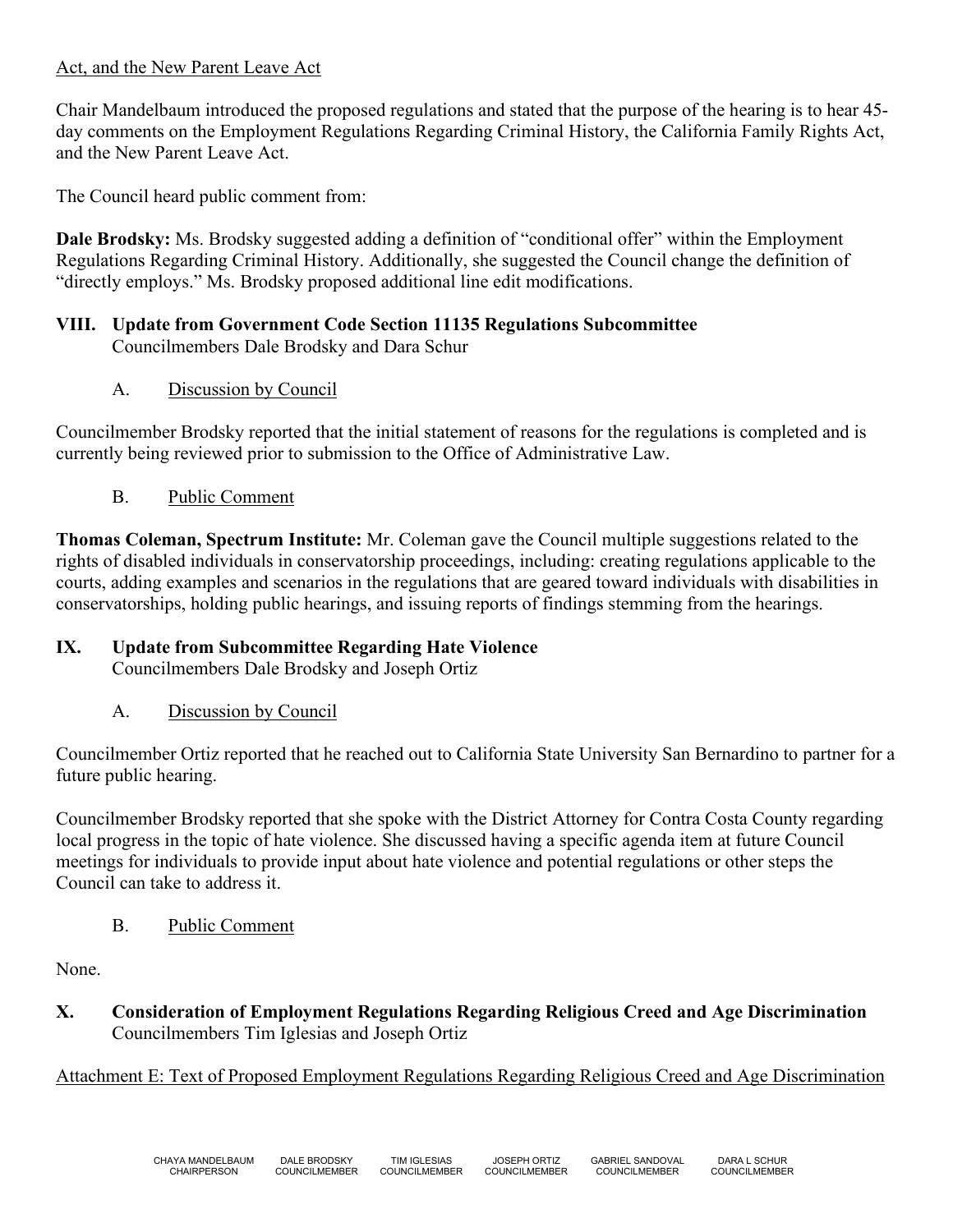#### Act, and the New Parent Leave Act

Chair Mandelbaum introduced the proposed regulations and stated that the purpose of the hearing is to hear 45 day comments on the Employment Regulations Regarding Criminal History, the California Family Rights Act, and the New Parent Leave Act.

The Council heard public comment from:

**Dale Brodsky:** Ms. Brodsky suggested adding a definition of "conditional offer" within the Employment Regulations Regarding Criminal History. Additionally, she suggested the Council change the definition of "directly employs." Ms. Brodsky proposed additional line edit modifications.

#### **VIII. Update from Government Code Section 11135 Regulations Subcommittee** Councilmembers Dale Brodsky and Dara Schur

A. Discussion by Council

Councilmember Brodsky reported that the initial statement of reasons for the regulations is completed and is currently being reviewed prior to submission to the Office of Administrative Law.

B. Public Comment

**Thomas Coleman, Spectrum Institute:** Mr. Coleman gave the Council multiple suggestions related to the rights of disabled individuals in conservatorship proceedings, including: creating regulations applicable to the courts, adding examples and scenarios in the regulations that are geared toward individuals with disabilities in conservatorships, holding public hearings, and issuing reports of findings stemming from the hearings.

## **IX. Update from Subcommittee Regarding Hate Violence**

Councilmembers Dale Brodsky and Joseph Ortiz

A. Discussion by Council

Councilmember Ortiz reported that he reached out to California State University San Bernardino to partner for a future public hearing.

Councilmember Brodsky reported that she spoke with the District Attorney for Contra Costa County regarding local progress in the topic of hate violence. She discussed having a specific agenda item at future Council meetings for individuals to provide input about hate violence and potential regulations or other steps the Council can take to address it.

B. Public Comment

None.

**X. Consideration of Employment Regulations Regarding Religious Creed and Age Discrimination** Councilmembers Tim Iglesias and Joseph Ortiz

Attachment E: Text of Proposed Employment Regulations Regarding Religious Creed and Age Discrimination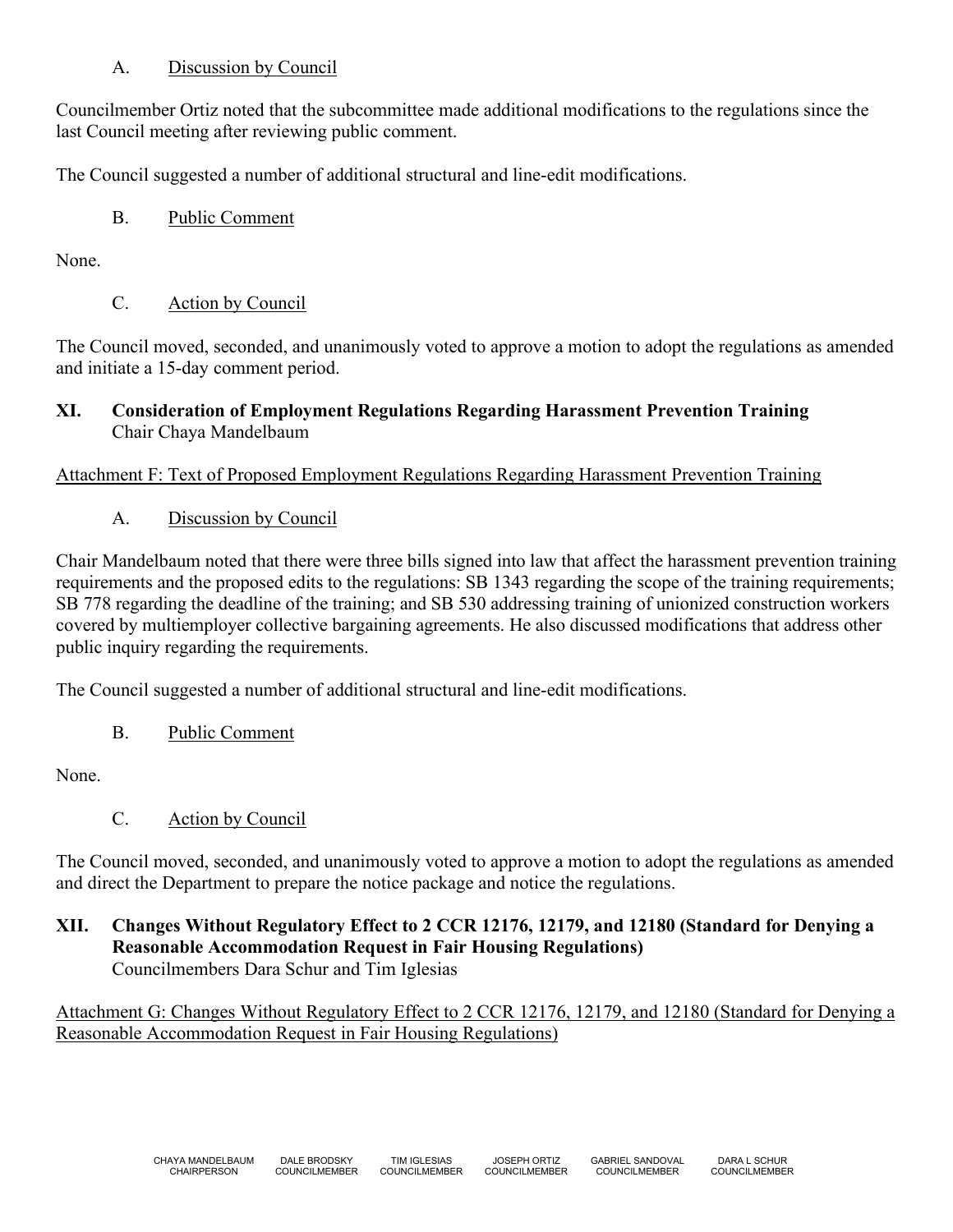## A. Discussion by Council

Councilmember Ortiz noted that the subcommittee made additional modifications to the regulations since the last Council meeting after reviewing public comment.

The Council suggested a number of additional structural and line-edit modifications.

B. Public Comment

None.

C. Action by Council

The Council moved, seconded, and unanimously voted to approve a motion to adopt the regulations as amended and initiate a 15-day comment period.

## **XI. Consideration of Employment Regulations Regarding Harassment Prevention Training** Chair Chaya Mandelbaum

## Attachment F: Text of Proposed Employment Regulations Regarding Harassment Prevention Training

A. Discussion by Council

Chair Mandelbaum noted that there were three bills signed into law that affect the harassment prevention training requirements and the proposed edits to the regulations: SB 1343 regarding the scope of the training requirements; SB 778 regarding the deadline of the training; and SB 530 addressing training of unionized construction workers covered by multiemployer collective bargaining agreements. He also discussed modifications that address other public inquiry regarding the requirements.

The Council suggested a number of additional structural and line-edit modifications.

B. Public Comment

None.

C. Action by Council

The Council moved, seconded, and unanimously voted to approve a motion to adopt the regulations as amended and direct the Department to prepare the notice package and notice the regulations.

#### **XII. Changes Without Regulatory Effect to 2 CCR 12176, 12179, and 12180 (Standard for Denying a Reasonable Accommodation Request in Fair Housing Regulations)** Councilmembers Dara Schur and Tim Iglesias

Attachment G: Changes Without Regulatory Effect to 2 CCR 12176, 12179, and 12180 (Standard for Denying a Reasonable Accommodation Request in Fair Housing Regulations)